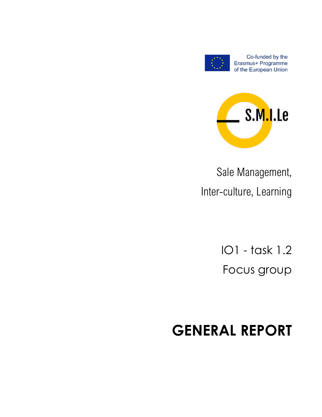

Co-funded by the Erasmus+ Programme of the European Union



Sale Management, Inter-culture, Learning

> IO1 - task 1.2 Focus group

# **GENERAL REPORT**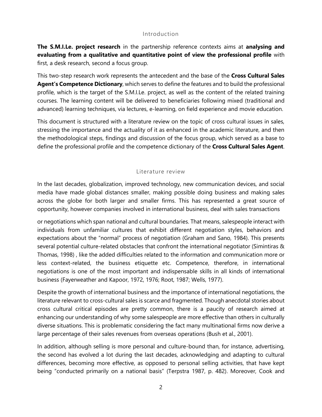#### Introduction

**The S.M.I.Le. project research** in the partnership reference contexts aims at **analysing and evaluating from a qualitative and quantitative point of view the professional profile** with first, a desk research, second a focus group.

This two-step research work represents the antecedent and the base of the **Cross Cultural Sales Agent's Competence Dictionary**, which serves to define the features and to build the professional profile, which is the target of the S.M.I.Le. project, as well as the content of the related training courses. The learning content will be delivered to beneficiaries following mixed (traditional and advanced) learning techniques, via lectures, e-learning, on field experience and movie education.

This document is structured with a literature review on the topic of cross cultural issues in sales, stressing the importance and the actuality of it as enhanced in the academic literature, and then the methodological steps, findings and discussion of the focus group, which served as a base to define the professional profile and the competence dictionary of the **Cross Cultural Sales Agent**.

#### Literature review

In the last decades, globalization, improved technology, new communication devices, and social media have made global distances smaller, making possible doing business and making sales across the globe for both larger and smaller firms. This has represented a great source of opportunity, however companies involved in international business, deal with sales transactions

or negotiations which span national and cultural boundaries. That means, salespeople interact with individuals from unfamiliar cultures that exhibit different negotiation styles, behaviors and expectations about the "normal" process of negotiation (Graham and Sano, 1984). This presents several potential culture-related obstacles that confront the international negotiator (Simintiras & Thomas, 1998) , like the added difficulties related to the information and communication more or less context-related, the business etiquette etc. Competence, therefore, in international negotiations is one of the most important and indispensable skills in all kinds of international business (Fayerweather and Kapoor, 1972, 1976; Root, 1987; Wells, 1977).

Despite the growth of international business and the importance of international negotiations, the literature relevant to cross-cultural sales is scarce and fragmented. Though anecdotal stories about cross cultural critical episodes are pretty common, there is a paucity of research aimed at enhancing our understanding of why some salespeople are more effective than others in culturally diverse situations. This is problematic considering the fact many multinational firms now derive a large percentage of their sales revenues from overseas operations (Bush et al., 2001).

In addition, although selling is more personal and culture-bound than, for instance, advertising, the second has evolved a lot during the last decades, acknowledging and adapting to cultural differences, becoming more effective, as opposed to personal selling activities, that have kept being "conducted primarily on a national basis" (Terpstra 1987, p. 482). Moreover, Cook and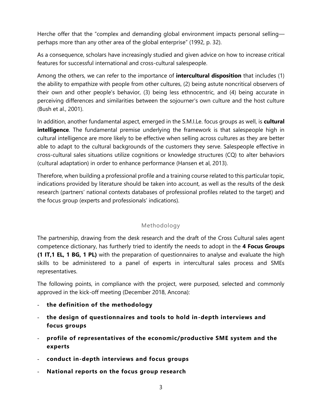Herche offer that the "complex and demanding global environment impacts personal selling perhaps more than any other area of the global enterprise" (1992, p. 32).

As a consequence, scholars have increasingly studied and given advice on how to increase critical features for successful international and cross-cultural salespeople.

Among the others, we can refer to the importance of **intercultural disposition** that includes (1) the ability to empathize with people from other cultures, (2) being astute noncritical observers of their own and other people's behavior, (3) being less ethnocentric, and (4) being accurate in perceiving differences and similarities between the sojourner's own culture and the host culture (Bush et al., 2001).

In addition, another fundamental aspect, emerged in the S.M.I.Le. focus groups as well, is **cultural intelligence**. The fundamental premise underlying the framework is that salespeople high in cultural intelligence are more likely to be effective when selling across cultures as they are better able to adapt to the cultural backgrounds of the customers they serve. Salespeople effective in cross-cultural sales situations utilize cognitions or knowledge structures (CQ) to alter behaviors (cultural adaptation) in order to enhance performance (Hansen et al, 2013).

Therefore, when building a professional profile and a training course related to this particular topic, indications provided by literature should be taken into account, as well as the results of the desk research (partners' national contexts databases of professional profiles related to the target) and the focus group (experts and professionals' indications).

## Methodology

The partnership, drawing from the desk research and the draft of the Cross Cultural sales agent competence dictionary, has furtherly tried to identify the needs to adopt in the **4 Focus Groups (1 IT,1 EL, 1 BG, 1 PL)** with the preparation of questionnaires to analyse and evaluate the high skills to be administered to a panel of experts in intercultural sales process and SMEs representatives.

The following points, in compliance with the project, were purposed, selected and commonly approved in the kick-off meeting (December 2018, Ancona):

- **the definition of the methodology**
- **the design of questionnaires and tools to hold in-depth interviews and focus groups**
- **profile of representatives of the economic/productive SME system and the experts**
- **conduct in-depth interviews and focus groups**
- **National reports on the focus group research**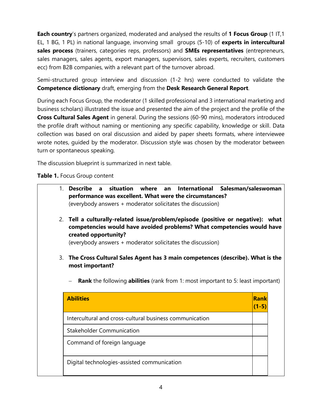**Each country**'s partners organized, moderated and analysed the results of **1 Focus Group** (1 IT,1 EL, 1 BG, 1 PL) in national language, invonving small groups (5-10) of **experts in intercultural sales process** (trainers, categories reps, professors) and **SMEs representatives** (entrepreneurs, sales managers, sales agents, export managers, supervisors, sales experts, recruiters, customers ecc) from B2B companies, with a relevant part of the turnover abroad.

Semi-structured group interview and discussion (1-2 hrs) were conducted to validate the **Competence dictionary** draft, emerging from the **Desk Research General Report**.

During each Focus Group, the moderator (1 skilled professional and 3 international marketing and business scholars) illustrated the issue and presented the aim of the project and the profile of the **Cross Cultural Sales Agent** in general. During the sessions (60-90 mins), moderators introduced the profile draft without naming or mentioning any specific capability, knowledge or skill. Data collection was based on oral discussion and aided by paper sheets formats, where interviewee wrote notes, guided by the moderator. Discussion style was chosen by the moderator between turn or spontaneous speaking.

The discussion blueprint is summarized in next table.

**Table 1.** Focus Group content

|    |                                                                                                | International Salesman/saleswoman |
|----|------------------------------------------------------------------------------------------------|-----------------------------------|
|    | performance was excellent. What were the circumstances?                                        |                                   |
|    | (everybody answers + moderator solicitates the discussion)                                     |                                   |
|    | 2. Tell a culturally-related issue/problem/episode (positive or negative): what                |                                   |
|    | competencies would have avoided problems? What competencies would have                         |                                   |
|    | created opportunity?                                                                           |                                   |
|    | (everybody answers + moderator solicitates the discussion)                                     |                                   |
|    |                                                                                                |                                   |
| 3. | The Cross Cultural Sales Agent has 3 main competences (describe). What is the                  |                                   |
|    | most important?                                                                                |                                   |
|    |                                                                                                |                                   |
|    |                                                                                                |                                   |
|    | <b>Rank</b> the following <b>abilities</b> (rank from 1: most important to 5: least important) |                                   |
|    | <b>Abilities</b>                                                                               | <b>Rank</b>                       |
|    |                                                                                                | $(1-5)$                           |
|    | Intercultural and cross-cultural business communication                                        |                                   |
|    | <b>Stakeholder Communication</b>                                                               |                                   |
|    |                                                                                                |                                   |
|    | Command of foreign language                                                                    |                                   |
|    | Digital technologies-assisted communication                                                    |                                   |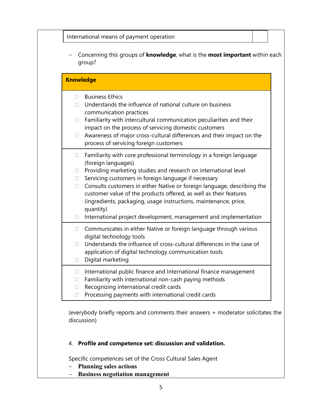| International means of payment operation                                                                                                                                                                                                                                                                                                                                                                                                                                                                                                                       |
|----------------------------------------------------------------------------------------------------------------------------------------------------------------------------------------------------------------------------------------------------------------------------------------------------------------------------------------------------------------------------------------------------------------------------------------------------------------------------------------------------------------------------------------------------------------|
| Concerning this groups of <b>knowledge</b> , what is the <b>most important</b> within each<br>group?                                                                                                                                                                                                                                                                                                                                                                                                                                                           |
| <b>Knowledge</b>                                                                                                                                                                                                                                                                                                                                                                                                                                                                                                                                               |
| <b>Business Ethics</b><br>$\Box$<br>Understands the influence of national culture on business<br>communication practices<br>Familiarity with intercultural communication peculiarities and their<br>$\Box$<br>impact on the process of servicing domestic customers<br>Awareness of major cross-cultural differences and their impact on the<br>П<br>process of servicing foreign customers                                                                                                                                                                    |
| Familiarity with core professional terminology in a foreign language<br>□<br>(foreign languages)<br>Providing marketing studies and research on international level<br>$\Box$<br>Servicing customers in foreign language if necessary<br>$\Box$<br>Consults customers in either Native or foreign language, describing the<br>0<br>customer value of the products offered, as well as their features<br>(ingredients, packaging, usage instructions, maintenance, price,<br>quantity)<br>International project development, management and implementation<br>0 |
| Communicates in either Native or foreign language through various<br>П.<br>digital technology tools<br>Understands the influence of cross-cultural differences in the case of<br>П<br>application of digital technology communication tools<br>Digital marketing<br>$\Box$                                                                                                                                                                                                                                                                                     |
| International public finance and International finance management<br>0<br>Familiarity with international non-cash paying methods<br>0<br>Recognizing international credit cards<br>0<br>Processing payments with international credit cards<br>□                                                                                                                                                                                                                                                                                                               |

(everybody briefly reports and comments their answers + moderator solicitates the discussion)

## 4. **Profile and competence set: discussion and validation.**

Specific competences set of the Cross Cultural Sales Agent

- − **Planning sales actions**
- − **Business negotiation management**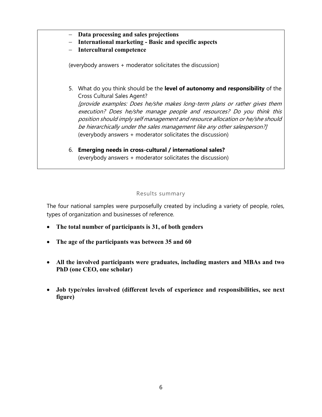- − **Data processing and sales projections**
- − **International marketing - Basic and specific aspects**
- − **Intercultural competence**

(everybody answers + moderator solicitates the discussion)

- 5. What do you think should be the **level of autonomy and responsibility** of the Cross Cultural Sales Agent? [provide examples: Does he/she makes long-term plans or rather gives them execution? Does he/she manage people and resources? Do you think this position should imply self management and resource allocation or he/she should be hierarchically under the sales management like any other salesperson?] (everybody answers + moderator solicitates the discussion)
- 6. **Emerging needs in cross-cultural / international sales?** (everybody answers + moderator solicitates the discussion)

### Results summary

The four national samples were purposefully created by including a variety of people, roles, types of organization and businesses of reference.

- **The total number of participants is 31, of both genders**
- **The age of the participants was between 35 and 60**
- **All the involved participants were graduates, including masters and MBAs and two PhD (one CEO, one scholar)**
- **Job type/roles involved (different levels of experience and responsibilities, see next figure)**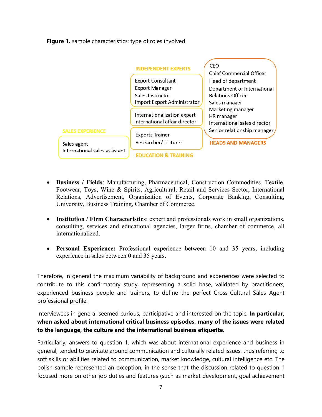**Figure 1.** sample characteristics: type of roles involved



- **Business / Fields**: Manufacturing, Pharmaceutical, Construction Commodities, Textile, Footwear, Toys, Wine & Spirits, Agricultural, Retail and Services Sector, International Relations, Advertisement, Organization of Events, Corporate Banking, Consulting, University, Business Training, Chamber of Commerce.
- **Institution / Firm Characteristics**: expert and professionals work in small organizations, consulting, services and educational agencies, larger firms, chamber of commerce, all internationalized.
- **Personal Experience:** Professional experience between 10 and 35 years, including experience in sales between 0 and 35 years.

Therefore, in general the maximum variability of background and experiences were selected to contribute to this confirmatory study, representing a solid base, validated by practitioners, experienced business people and trainers, to define the perfect Cross-Cultural Sales Agent professional profile.

Interviewees in general seemed curious, participative and interested on the topic. **In particular, when asked about international critical business episodes, many of the issues were related to the language, the culture and the international business etiquette.**

Particularly, answers to question 1, which was about international experience and business in general, tended to gravitate around communication and culturally related issues, thus referring to soft skills or abilities related to communication, market knowledge, cultural intelligence etc. The polish sample represented an exception, in the sense that the discussion related to question 1 focused more on other job duties and features (such as market development, goal achievement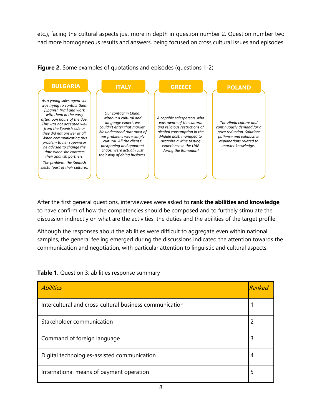etc.), facing the cultural aspects just more in depth in question number 2. Question number two had more homogeneous results and answers, being focused on cross cultural issues and episodes.



**Figure 2.** Some examples of quotations and episodes (questions 1-2)

After the first general questions, interviewees were asked to **rank the abilities and knowledge**, to have confirm of how the competencies should be composed and to furthely stimulate the discussion indirectly on what are the activities, the duties and the abilities of the target profile.

Although the responses about the abilities were difficult to aggregate even within national samples, the general feeling emerged during the discussions indicated the attention towards the communication and negotiation, with particular attention to linguistic and cultural aspects.

| <b>Abilities</b>                                        | Ranked |
|---------------------------------------------------------|--------|
| Intercultural and cross-cultural business communication |        |
| Stakeholder communication                               | 2      |
| Command of foreign language                             |        |
| Digital technologies-assisted communication             |        |
| International means of payment operation                |        |

**Table 1.** Question 3: abilities response summary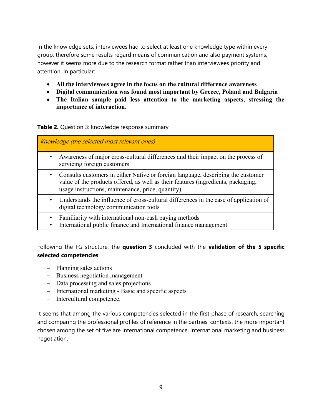In the knowledge sets, interviewees had to select at least one knowledge type within every group, therefore some results regard means of communication and also payment systems, however it seems more due to the research format rather than interviewees priority and attention. In particular:

- **All the interviewees agree in the focus on the cultural difference awareness**
- **Digital communication was found most important by Greece, Poland and Bulgaria**
- **The Italian sample paid less attention to the marketing aspects, stressing the importance of interaction.**

#### **Table 2.** Question 3: knowledge response summary

| Knowledge (the selected most relevant ones) |                                                                                                                                                                                                                            |
|---------------------------------------------|----------------------------------------------------------------------------------------------------------------------------------------------------------------------------------------------------------------------------|
| $\bullet$                                   | Awareness of major cross-cultural differences and their impact on the process of<br>servicing foreign customers                                                                                                            |
| ٠                                           | Consults customers in either Native or foreign language, describing the customer<br>value of the products offered, as well as their features (ingredients, packaging,<br>usage instructions, maintenance, price, quantity) |
|                                             | Understands the influence of cross-cultural differences in the case of application of<br>digital technology communication tools                                                                                            |
|                                             | Familiarity with international non-cash paying methods<br>International public finance and International finance management                                                                                                |

International public finance and International finance management

Following the FG structure, the **question 3** concluded with the **validation of the 5 specific selected competencies**:

- − Planning sales actions
- − Business negotiation management
- − Data processing and sales projections
- − International marketing Basic and specific aspects
- − Intercultural competence.

It seems that among the various competencies selected in the first phase of research, searching and comparing the professional profiles of reference in the partnes' contexts, the more important chosen among the set of five are international competence, international marketing and business negotiation.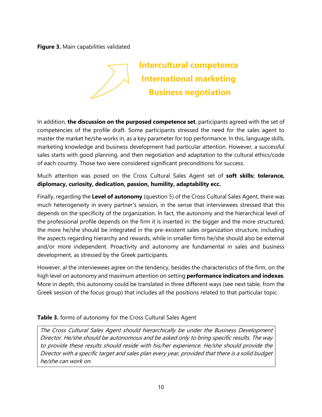**Figure 3.** Main capabilities validated



**Intercultural competence International marketing Business negotiation**

In addition, **the discussion on the purposed competence set**, participants agreed with the set of competencies of the profile draft. Some participants stressed the need for the sales agent to master the market he/she works in, as a key parameter for top performance. In this, language skills, marketing knowledge and business development had particular attention. However, a successful sales starts with good planning, and then negotiation and adaptation to the cultural ethics/code of each country. Those two were considered significant preconditions for success.

Much attention was posed on the Cross Cultural Sales Agent set of **soft skills: tolerance, diplomacy, curiosity, dedication, passion, humility, adaptability ecc.**

Finally, regarding the **Level of autonomy** (question 5) of the Cross Cultural Sales Agent, there was much heterogeneity in every partner's session, in the sense that interviewees stressed that this depends on the specificity of the organization. In fact, the autonomy and the hierarchical level of the professional profile depends on the firm it is inserted in: the bigger and the more structured, the more he/she should be integrated in the pre-existent sales organization structure, including the aspects regarding hierarchy and rewards, while in smaller firms he/she should also be external and/or more independent. Proactivity and autonomy are fundamental in sales and business development, as stressed by the Greek participants.

However, al the interviewees agree on the tendency, besides the characteristics of the firm, on the high level on autonomy and maximum attention on setting **performance indicators and indexes**. More in depth, this autonomy could be translated in three different ways (see next table, from the Greek session of the focus group) that includes all the positions related to that particular topic.

## **Table 3.** forms of autonomy for the Cross Cultural Sales Agent

The Cross Cultural Sales Agent should hierarchically be under the Business Development Director. He/she should be autonomous and be asked only to bring specific results. The way to provide these results should reside with his/her experience. He/she should provide the Director with a specific target and sales plan every year, provided that there is a solid budget he/she can work on.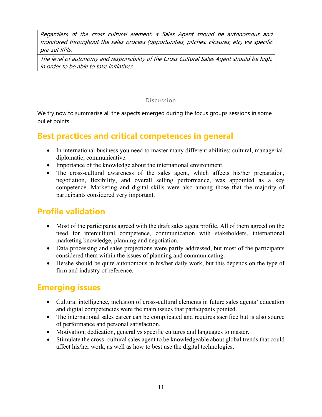Regardless of the cross cultural element, a Sales Agent should be autonomous and monitored throughout the sales process (opportunities, pitches, closures, etc) via specific pre-set KPIs.

The level of autonomy and responsibility of the Cross Cultural Sales Agent should be high, in order to be able to take initiatives.

### Discussion

We try now to summarise all the aspects emerged during the focus groups sessions in some bullet points.

## **Best practices and critical competences in general**

- In international business you need to master many different abilities: cultural, managerial, diplomatic, communicative.
- Importance of the knowledge about the international environment.
- The cross-cultural awareness of the sales agent, which affects his/her preparation, negotiation, flexibility, and overall selling performance, was appointed as a key competence. Marketing and digital skills were also among those that the majority of participants considered very important.

## **Profile validation**

- Most of the participants agreed with the draft sales agent profile. All of them agreed on the need for intercultural competence, communication with stakeholders, international marketing knowledge, planning and negotiation.
- Data processing and sales projections were partly addressed, but most of the participants considered them within the issues of planning and communicating.
- He/she should be quite autonomous in his/her daily work, but this depends on the type of firm and industry of reference.

## **Emerging issues**

- Cultural intelligence, inclusion of cross-cultural elements in future sales agents' education and digital competencies were the main issues that participants pointed.
- The international sales career can be complicated and requires sacrifice but is also source of performance and personal satisfaction.
- Motivation, dedication, general vs specific cultures and languages to master.
- Stimulate the cross- cultural sales agent to be knowledgeable about global trends that could affect his/her work, as well as how to best use the digital technologies.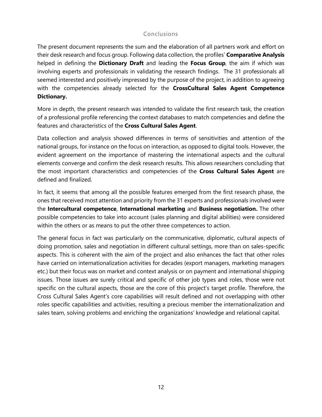### Conclusions

The present document represents the sum and the elaboration of all partners work and effort on their desk research and focus group. Following data collection, the profiles' **Comparative Analysis** helped in defining the **Dictionary Draft** and leading the **Focus Group**, the aim if which was involving experts and professionals in validating the research findings. The 31 professionals all seemed interested and positively impressed by the purpose of the project, in addition to agreeing with the competencies already selected for the **CrossCultural Sales Agent Competence Dictionary.**

More in depth, the present research was intended to validate the first research task, the creation of a professional profile referencing the context databases to match competencies and define the features and characteristics of the **Cross Cultural Sales Agent**.

Data collection and analysis showed differences in terms of sensitivities and attention of the national groups, for instance on the focus on interaction, as opposed to digital tools. However, the evident agreement on the importance of mastering the international aspects and the cultural elements converge and confirm the desk research results. This allows researchers concluding that the most important characteristics and competencies of the **Cross Cultural Sales Agent** are defined and finalized.

In fact, it seems that among all the possible features emerged from the first research phase, the ones that received most attention and priority from the 31 experts and professionals involved were the **Intercultural competence**, **International marketing** and **Business negotiation.** The other possible competencies to take into account (sales planning and digital abilities) were considered within the others or as means to put the other three competences to action.

The general focus in fact was particularly on the communicative, diplomatic, cultural aspects of doing promotion, sales and negotiation in different cultural settings, more than on sales-specific aspects. This is coherent with the aim of the project and also enhances the fact that other roles have carried on internationalization activities for decades (export managers, marketing managers etc.) but their focus was on market and context analysis or on payment and international shipping issues. Those issues are surely critical and specific of other job types and roles, those were not specific on the cultural aspects, those are the core of this project's target profile. Therefore, the Cross Cultural Sales Agent's core capabilities will result defined and not overlapping with other roles specific capabilities and activities, resulting a precious member the internationalization and sales team, solving problems and enriching the organizations' knowledge and relational capital.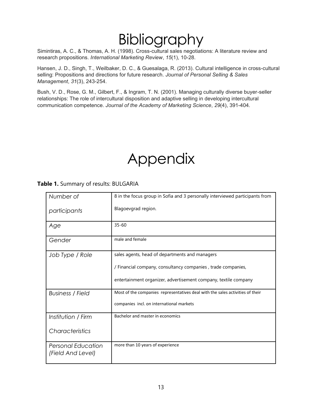# Bibliography

Simintiras, A. C., & Thomas, A. H. (1998). Cross-cultural sales negotiations: A literature review and research propositions. *International Marketing Review*, *15*(1), 10-28.

Hansen, J. D., Singh, T., Weilbaker, D. C., & Guesalaga, R. (2013). Cultural intelligence in cross-cultural selling: Propositions and directions for future research. *Journal of Personal Selling & Sales Management*, *31*(3), 243-254.

Bush, V. D., Rose, G. M., Gilbert, F., & Ingram, T. N. (2001). Managing culturally diverse buyer-seller relationships: The role of intercultural disposition and adaptive selling in developing intercultural communication competence. *Journal of the Academy of Marketing Science*, *29*(4), 391-404.

## Appendix

**Table 1.** Summary of results: BULGARIA

| Number of                                      | 8 in the focus group in Sofia and 3 personally interviewed participants from  |
|------------------------------------------------|-------------------------------------------------------------------------------|
| participants                                   | Blagoevgrad region.                                                           |
| Age                                            | $35 - 60$                                                                     |
| Gender                                         | male and female                                                               |
| Job Type / Role                                | sales agents, head of departments and managers                                |
|                                                | / Financial company, consultancy companies, trade companies,                  |
|                                                | entertainment organizer, advertisement company, textile company               |
| <b>Business / Field</b>                        | Most of the companies representatives deal with the sales activities of their |
|                                                | companies incl. on international markets                                      |
| Institution / Firm                             | Bachelor and master in economics                                              |
| Characteristics                                |                                                                               |
| <b>Personal Education</b><br>(Field And Level) | more than 10 years of experience                                              |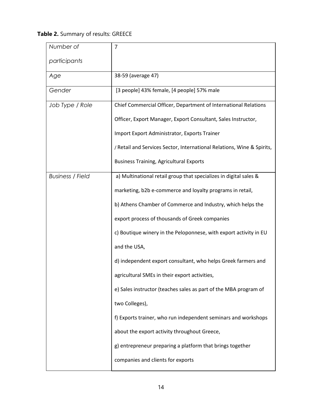**Table 2.** Summary of results: GREECE

| Number of               | $\overline{7}$                                                         |
|-------------------------|------------------------------------------------------------------------|
| participants            |                                                                        |
| Age                     | 38-59 (average 47)                                                     |
| Gender                  | [3 people] 43% female, [4 people] 57% male                             |
| Job Type / Role         | Chief Commercial Officer, Department of International Relations        |
|                         | Officer, Export Manager, Export Consultant, Sales Instructor,          |
|                         | Import Export Administrator, Exports Trainer                           |
|                         | / Retail and Services Sector, International Relations, Wine & Spirits, |
|                         | <b>Business Training, Agricultural Exports</b>                         |
| <b>Business / Field</b> | a) Multinational retail group that specializes in digital sales &      |
|                         | marketing, b2b e-commerce and loyalty programs in retail,              |
|                         | b) Athens Chamber of Commerce and Industry, which helps the            |
|                         | export process of thousands of Greek companies                         |
|                         | c) Boutique winery in the Peloponnese, with export activity in EU      |
|                         | and the USA,                                                           |
|                         | d) independent export consultant, who helps Greek farmers and          |
|                         | agricultural SMEs in their export activities,                          |
|                         | e) Sales instructor (teaches sales as part of the MBA program of       |
|                         | two Colleges),                                                         |
|                         | f) Exports trainer, who run independent seminars and workshops         |
|                         | about the export activity throughout Greece,                           |
|                         | g) entrepreneur preparing a platform that brings together              |
|                         | companies and clients for exports                                      |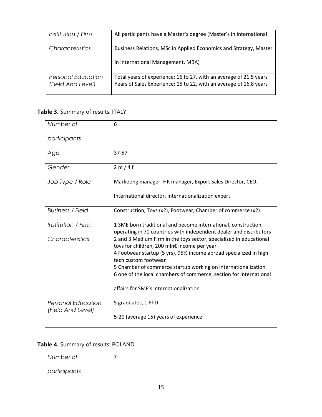| Institution / Firm                      | All participants have a Master's degree (Master's in International                                                                       |
|-----------------------------------------|------------------------------------------------------------------------------------------------------------------------------------------|
| Characteristics                         | Business Relations, MSc in Applied Economics and Strategy, Master                                                                        |
|                                         | in International Management, MBA)                                                                                                        |
| Personal Education<br>(Field And Level) | Total years of experience: 16 to 27, with an average of 21.5 years<br>Years of Sales Experience: 15 to 22, with an average of 16.8 years |

## **Table 3.** Summary of results: ITALY

| Number of                                      | 6                                                                                                                                    |
|------------------------------------------------|--------------------------------------------------------------------------------------------------------------------------------------|
| participants                                   |                                                                                                                                      |
| Age                                            | $37 - 57$                                                                                                                            |
| Gender                                         | 2m/4f                                                                                                                                |
| Job Type / Role                                | Marketing manager, HR manager, Export Sales Director, CEO,                                                                           |
|                                                | International director, Internationalization expert                                                                                  |
| <b>Business / Field</b>                        | Construction, Toys (x2), Footwear, Chamber of commerce (x2)                                                                          |
| Institution / Firm                             | 1 SME born traditional and become international, construction,<br>operating in 70 countries with independent dealer and distributors |
| Characteristics                                | 2 and 3 Medium Firm in the toys sector, specialized in educational<br>toys for children, 200 mln€ income per year                    |
|                                                | 4 Footwear startup (5 yrs), 95% income abroad specialized in high<br>tech custom footwear                                            |
|                                                | 5 Chamber of commerce startup working on internationalization                                                                        |
|                                                | 6 one of the local chambers of commerce, section for international                                                                   |
|                                                | affairs for SME's internationalization                                                                                               |
| <b>Personal Education</b><br>(Field And Level) | 5 graduates, 1 PhD                                                                                                                   |
|                                                | 5-20 (average 15) years of experience                                                                                                |

## **Table 4.** Summary of results: POLAND

| Number of    |  |
|--------------|--|
| participants |  |